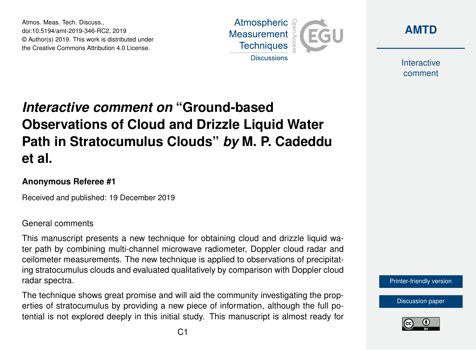Atmos. Meas. Tech. Discuss., doi:10.5194/amt-2019-346-RC2, 2019 © Author(s) 2019. This work is distributed under the Creative Commons Attribution 4.0 License.





Interactive comment

# *Interactive comment on* **"Ground-based Observations of Cloud and Drizzle Liquid Water Path in Stratocumulus Clouds"** *by* **M. P. Cadeddu et al.**

#### **Anonymous Referee #1**

Received and published: 19 December 2019

#### General comments

This manuscript presents a new technique for obtaining cloud and drizzle liquid water path by combining multi-channel microwave radiometer, Doppler cloud radar and ceilometer measurements. The new technique is applied to observations of precipitating stratocumulus clouds and evaluated qualitatively by comparison with Doppler cloud radar spectra.

The technique shows great promise and will aid the community investigating the properties of stratocumulus by providing a new piece of information, although the full potential is not explored deeply in this initial study. This manuscript is almost ready for



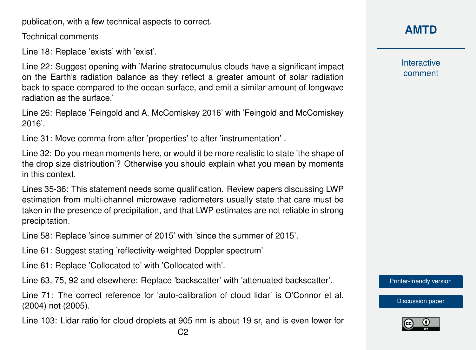publication, with a few technical aspects to correct.

Technical comments

Line 18: Replace 'exists' with 'exist'.

Line 22: Suggest opening with 'Marine stratocumulus clouds have a significant impact on the Earth's radiation balance as they reflect a greater amount of solar radiation back to space compared to the ocean surface, and emit a similar amount of longwave radiation as the surface.'

Line 26: Replace 'Feingold and A. McComiskey 2016' with 'Feingold and McComiskey 2016'.

Line 31: Move comma from after 'properties' to after 'instrumentation' .

Line 32: Do you mean moments here, or would it be more realistic to state 'the shape of the drop size distribution'? Otherwise you should explain what you mean by moments in this context.

Lines 35-36: This statement needs some qualification. Review papers discussing LWP estimation from multi-channel microwave radiometers usually state that care must be taken in the presence of precipitation, and that LWP estimates are not reliable in strong precipitation.

Line 58: Replace 'since summer of 2015' with 'since the summer of 2015'.

Line 61: Suggest stating 'reflectivity-weighted Doppler spectrum'

Line 61: Replace 'Collocated to' with 'Collocated with'.

Line 63, 75, 92 and elsewhere: Replace 'backscatter' with 'attenuated backscatter'.

Line 71: The correct reference for 'auto-calibration of cloud lidar' is O'Connor et al. (2004) not (2005).

Line 103: Lidar ratio for cloud droplets at 905 nm is about 19 sr, and is even lower for

Interactive comment

[Printer-friendly version](https://www.atmos-meas-tech-discuss.net/amt-2019-346/amt-2019-346-RC2-print.pdf)

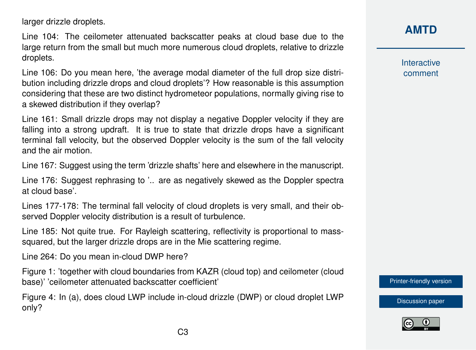larger drizzle droplets.

Line 104: The ceilometer attenuated backscatter peaks at cloud base due to the large return from the small but much more numerous cloud droplets, relative to drizzle droplets.

Line 106: Do you mean here, 'the average modal diameter of the full drop size distribution including drizzle drops and cloud droplets'? How reasonable is this assumption considering that these are two distinct hydrometeor populations, normally giving rise to a skewed distribution if they overlap?

Line 161: Small drizzle drops may not display a negative Doppler velocity if they are falling into a strong updraft. It is true to state that drizzle drops have a significant terminal fall velocity, but the observed Doppler velocity is the sum of the fall velocity and the air motion.

Line 167: Suggest using the term 'drizzle shafts' here and elsewhere in the manuscript.

Line 176: Suggest rephrasing to '.. are as negatively skewed as the Doppler spectra at cloud base'.

Lines 177-178: The terminal fall velocity of cloud droplets is very small, and their observed Doppler velocity distribution is a result of turbulence.

Line 185: Not quite true. For Rayleigh scattering, reflectivity is proportional to masssquared, but the larger drizzle drops are in the Mie scattering regime.

Line 264: Do you mean in-cloud DWP here?

Figure 1: 'together with cloud boundaries from KAZR (cloud top) and ceilometer (cloud base)' 'ceilometer attenuated backscatter coefficient'

Figure 4: In (a), does cloud LWP include in-cloud drizzle (DWP) or cloud droplet LWP only?

## **[AMTD](https://www.atmos-meas-tech-discuss.net/)**

Interactive comment

[Printer-friendly version](https://www.atmos-meas-tech-discuss.net/amt-2019-346/amt-2019-346-RC2-print.pdf)